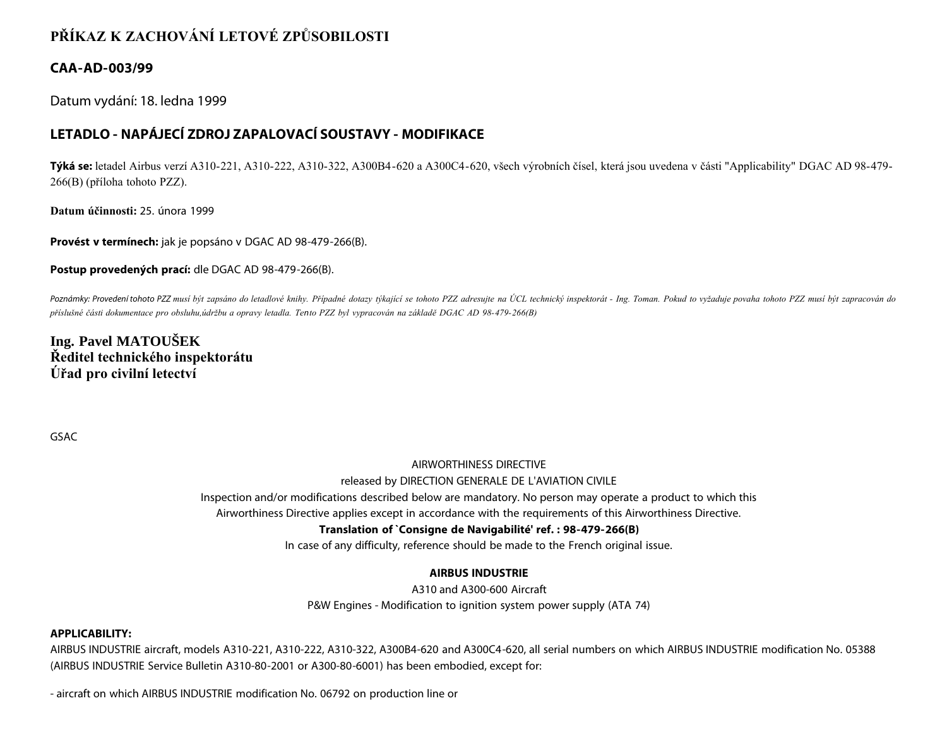# **PŘÍKAZ K ZACHOVÁNÍ LETOVÉ ZPŮSOBILOSTI**

### **CAA-AD-003/99**

Datum vydání: 18. ledna 1999

## **LETADLO - NAPÁJECÍ ZDROJ ZAPALOVACÍ SOUSTAVY - MODIFIKACE**

**Týká se:** letadel Airbus verzí A310-221, A310-222, A310-322, A300B4-620 a A300C4-620, všech výrobních čísel, která jsou uvedena v části "Applicability" DGAC AD 98-479- 266(B) (příloha tohoto PZZ).

**Datum účinnosti:** 25. února 1999

**Provést v termínech:** jak je popsáno v DGAC AD 98-479-266(B).

**Postup provedených prací:** dle DGAC AD 98-479-266(B).

Poznámky: Provedení tohoto PZZ musí být zapsáno do letadlové knihy. Případné dotazy týkající se tohoto PZZ adresujte na ÚCL technický inspektorát - Ing. Toman. Pokud to vyžaduje povaha tohoto PZZ musí být zapracován do *příslušné části dokumentace pro obsluhu,údržbu a opravy letadla. Tento PZZ byl vypracován na základě DGAC AD 98-479-266(B)*

### **Ing. Pavel MATOUŠEK Ředitel technického inspektorátu Úřad pro civilní letectví**

GSAC

#### AIRWORTHINESS DIRECTIVE

#### released by DIRECTION GENERALE DE L'AVIATION CIVILE

Inspection and/or modifications described below are mandatory. No person may operate a product to which this

Airworthiness Directive applies except in accordance with the requirements of this Airworthiness Directive.

#### **Translation of `Consigne de Navigabilité' ref. : 98-479-266(B)**

In case of any difficulty, reference should be made to the French original issue.

#### **AIRBUS INDUSTRIE**

A310 and A300-600 Aircraft

P&W Engines - Modification to ignition system power supply (ATA 74)

#### **APPLICABILITY:**

AIRBUS INDUSTRIE aircraft, models A310-221, A310-222, A310-322, A300B4-620 and A300C4-620, all serial numbers on which AIRBUS INDUSTRIE modification No. 05388 (AIRBUS INDUSTRIE Service Bulletin A310-80-2001 or A300-80-6001) has been embodied, except for:

- aircraft on which AIRBUS INDUSTRIE modification No. 06792 on production line or